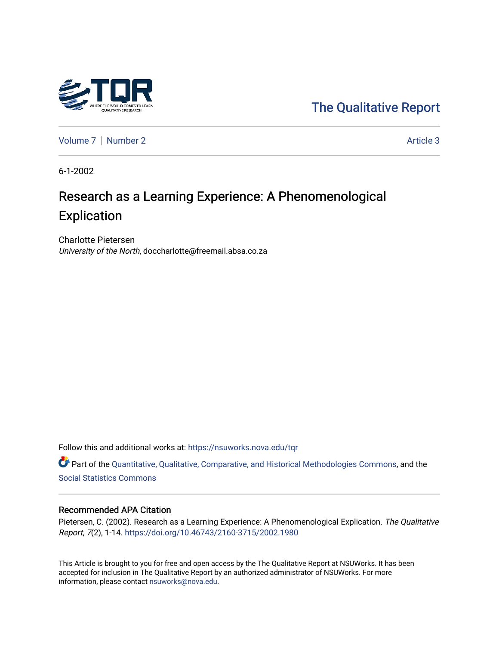

[The Qualitative Report](https://nsuworks.nova.edu/tqr) 

[Volume 7](https://nsuworks.nova.edu/tqr/vol7) | [Number 2](https://nsuworks.nova.edu/tqr/vol7/iss2) Article 3

6-1-2002

# Research as a Learning Experience: A Phenomenological **Explication**

Charlotte Pietersen University of the North, doccharlotte@freemail.absa.co.za

Follow this and additional works at: [https://nsuworks.nova.edu/tqr](https://nsuworks.nova.edu/tqr?utm_source=nsuworks.nova.edu%2Ftqr%2Fvol7%2Fiss2%2F3&utm_medium=PDF&utm_campaign=PDFCoverPages) 

Part of the [Quantitative, Qualitative, Comparative, and Historical Methodologies Commons,](http://network.bepress.com/hgg/discipline/423?utm_source=nsuworks.nova.edu%2Ftqr%2Fvol7%2Fiss2%2F3&utm_medium=PDF&utm_campaign=PDFCoverPages) and the [Social Statistics Commons](http://network.bepress.com/hgg/discipline/1275?utm_source=nsuworks.nova.edu%2Ftqr%2Fvol7%2Fiss2%2F3&utm_medium=PDF&utm_campaign=PDFCoverPages) 

#### Recommended APA Citation

Pietersen, C. (2002). Research as a Learning Experience: A Phenomenological Explication. The Qualitative Report, 7(2), 1-14.<https://doi.org/10.46743/2160-3715/2002.1980>

This Article is brought to you for free and open access by the The Qualitative Report at NSUWorks. It has been accepted for inclusion in The Qualitative Report by an authorized administrator of NSUWorks. For more information, please contact [nsuworks@nova.edu.](mailto:nsuworks@nova.edu)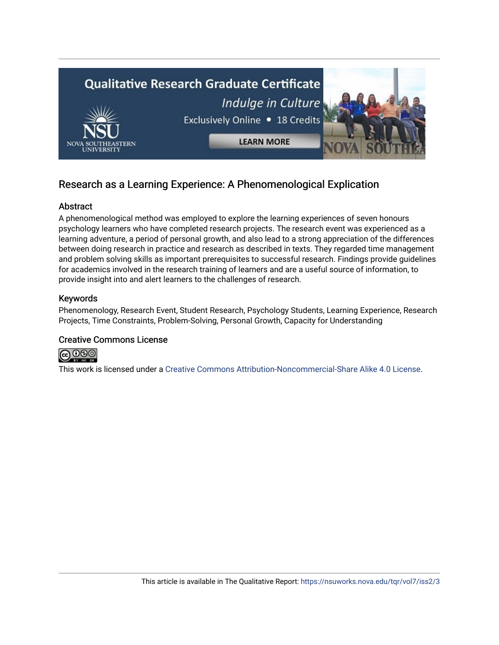

# Research as a Learning Experience: A Phenomenological Explication

#### **Abstract**

A phenomenological method was employed to explore the learning experiences of seven honours psychology learners who have completed research projects. The research event was experienced as a learning adventure, a period of personal growth, and also lead to a strong appreciation of the differences between doing research in practice and research as described in texts. They regarded time management and problem solving skills as important prerequisites to successful research. Findings provide guidelines for academics involved in the research training of learners and are a useful source of information, to provide insight into and alert learners to the challenges of research.

#### Keywords

Phenomenology, Research Event, Student Research, Psychology Students, Learning Experience, Research Projects, Time Constraints, Problem-Solving, Personal Growth, Capacity for Understanding

#### Creative Commons License



This work is licensed under a [Creative Commons Attribution-Noncommercial-Share Alike 4.0 License](https://creativecommons.org/licenses/by-nc-sa/4.0/).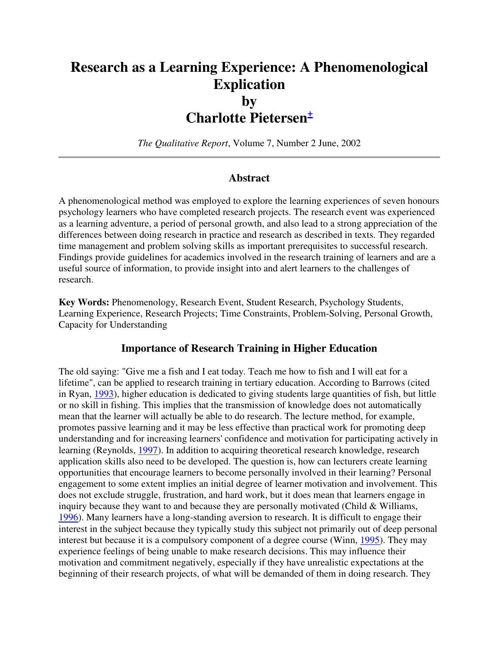# **Research as a Learning Experience: A Phenomenological Explication by Charlotte Pietersen<sup>+</sup>**

*The Qualitative Report*, Volume 7, Number 2 June, 2002

#### **Abstract**

A phenomenological method was employed to explore the learning experiences of seven honours psychology learners who have completed research projects. The research event was experienced as a learning adventure, a period of personal growth, and also lead to a strong appreciation of the differences between doing research in practice and research as described in texts. They regarded time management and problem solving skills as important prerequisites to successful research. Findings provide guidelines for academics involved in the research training of learners and are a useful source of information, to provide insight into and alert learners to the challenges of research.

**Key Words:** Phenomenology, Research Event, Student Research, Psychology Students, Learning Experience, Research Projects; Time Constraints, Problem-Solving, Personal Growth, Capacity for Understanding

#### **Importance of Research Training in Higher Education**

The old saying: "Give me a fish and I eat today. Teach me how to fish and I will eat for a lifetime", can be applied to research training in tertiary education. According to Barrows (cited in Ryan, 1993), higher education is dedicated to giving students large quantities of fish, but little or no skill in fishing. This implies that the transmission of knowledge does not automatically mean that the learner will actually be able to do research. The lecture method, for example, promotes passive learning and it may be less effective than practical work for promoting deep understanding and for increasing learners' confidence and motivation for participating actively in learning (Reynolds, 1997). In addition to acquiring theoretical research knowledge, research application skills also need to be developed. The question is, how can lecturers create learning opportunities that encourage learners to become personally involved in their learning? Personal engagement to some extent implies an initial degree of learner motivation and involvement. This does not exclude struggle, frustration, and hard work, but it does mean that learners engage in inquiry because they want to and because they are personally motivated (Child & Williams, 1996). Many learners have a long-standing aversion to research. It is difficult to engage their interest in the subject because they typically study this subject not primarily out of deep personal interest but because it is a compulsory component of a degree course (Winn, 1995). They may experience feelings of being unable to make research decisions. This may influence their motivation and commitment negatively, especially if they have unrealistic expectations at the beginning of their research projects, of what will be demanded of them in doing research. They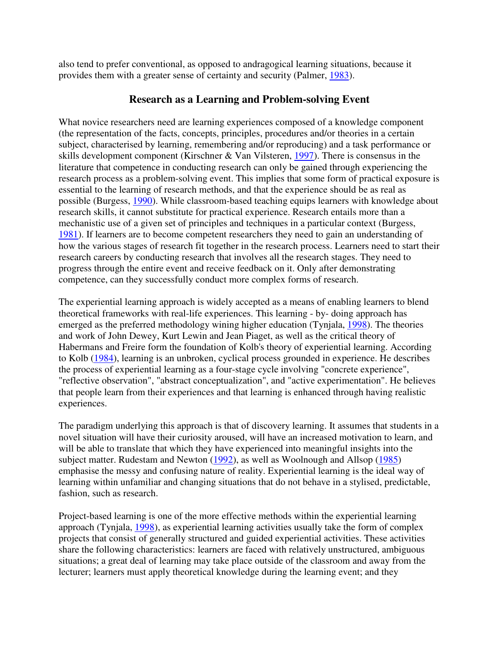also tend to prefer conventional, as opposed to andragogical learning situations, because it provides them with a greater sense of certainty and security (Palmer, 1983).

#### **Research as a Learning and Problem-solving Event**

What novice researchers need are learning experiences composed of a knowledge component (the representation of the facts, concepts, principles, procedures and/or theories in a certain subject, characterised by learning, remembering and/or reproducing) and a task performance or skills development component (Kirschner & Van Vilsteren, 1997). There is consensus in the literature that competence in conducting research can only be gained through experiencing the research process as a problem-solving event. This implies that some form of practical exposure is essential to the learning of research methods, and that the experience should be as real as possible (Burgess, 1990). While classroom-based teaching equips learners with knowledge about research skills, it cannot substitute for practical experience. Research entails more than a mechanistic use of a given set of principles and techniques in a particular context (Burgess, 1981). If learners are to become competent researchers they need to gain an understanding of how the various stages of research fit together in the research process. Learners need to start their research careers by conducting research that involves all the research stages. They need to progress through the entire event and receive feedback on it. Only after demonstrating competence, can they successfully conduct more complex forms of research.

The experiential learning approach is widely accepted as a means of enabling learners to blend theoretical frameworks with real-life experiences. This learning - by- doing approach has emerged as the preferred methodology wining higher education (Tynjala, 1998). The theories and work of John Dewey, Kurt Lewin and Jean Piaget, as well as the critical theory of Habermans and Freire form the foundation of Kolb's theory of experiential learning. According to Kolb (1984), learning is an unbroken, cyclical process grounded in experience. He describes the process of experiential learning as a four-stage cycle involving "concrete experience", "reflective observation", "abstract conceptualization", and "active experimentation". He believes that people learn from their experiences and that learning is enhanced through having realistic experiences.

The paradigm underlying this approach is that of discovery learning. It assumes that students in a novel situation will have their curiosity aroused, will have an increased motivation to learn, and will be able to translate that which they have experienced into meaningful insights into the subject matter. Rudestam and Newton (1992), as well as Woolnough and Allsop (1985) emphasise the messy and confusing nature of reality. Experiential learning is the ideal way of learning within unfamiliar and changing situations that do not behave in a stylised, predictable, fashion, such as research.

Project-based learning is one of the more effective methods within the experiential learning approach (Tynjala, 1998), as experiential learning activities usually take the form of complex projects that consist of generally structured and guided experiential activities. These activities share the following characteristics: learners are faced with relatively unstructured, ambiguous situations; a great deal of learning may take place outside of the classroom and away from the lecturer; learners must apply theoretical knowledge during the learning event; and they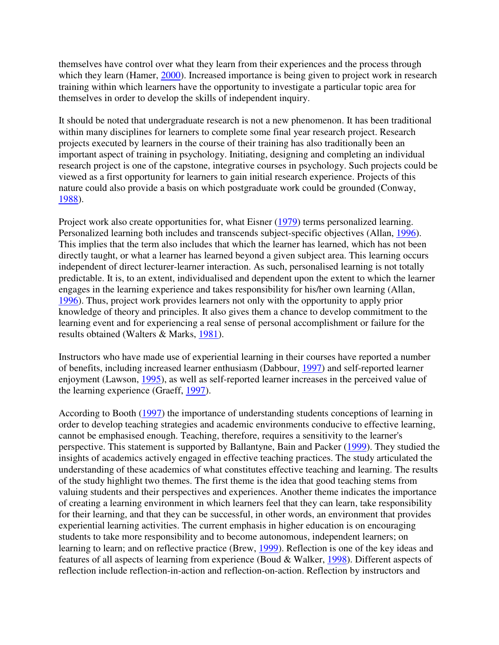themselves have control over what they learn from their experiences and the process through which they learn (Hamer, 2000). Increased importance is being given to project work in research training within which learners have the opportunity to investigate a particular topic area for themselves in order to develop the skills of independent inquiry.

It should be noted that undergraduate research is not a new phenomenon. It has been traditional within many disciplines for learners to complete some final year research project. Research projects executed by learners in the course of their training has also traditionally been an important aspect of training in psychology. Initiating, designing and completing an individual research project is one of the capstone, integrative courses in psychology. Such projects could be viewed as a first opportunity for learners to gain initial research experience. Projects of this nature could also provide a basis on which postgraduate work could be grounded (Conway, 1988).

Project work also create opportunities for, what Eisner (1979) terms personalized learning. Personalized learning both includes and transcends subject-specific objectives (Allan, 1996). This implies that the term also includes that which the learner has learned, which has not been directly taught, or what a learner has learned beyond a given subject area. This learning occurs independent of direct lecturer-learner interaction. As such, personalised learning is not totally predictable. It is, to an extent, individualised and dependent upon the extent to which the learner engages in the learning experience and takes responsibility for his/her own learning (Allan, 1996). Thus, project work provides learners not only with the opportunity to apply prior knowledge of theory and principles. It also gives them a chance to develop commitment to the learning event and for experiencing a real sense of personal accomplishment or failure for the results obtained (Walters & Marks, 1981).

Instructors who have made use of experiential learning in their courses have reported a number of benefits, including increased learner enthusiasm (Dabbour, 1997) and self-reported learner enjoyment (Lawson, 1995), as well as self-reported learner increases in the perceived value of the learning experience (Graeff, 1997).

According to Booth (1997) the importance of understanding students conceptions of learning in order to develop teaching strategies and academic environments conducive to effective learning, cannot be emphasised enough. Teaching, therefore, requires a sensitivity to the learner's perspective. This statement is supported by Ballantyne, Bain and Packer (1999). They studied the insights of academics actively engaged in effective teaching practices. The study articulated the understanding of these academics of what constitutes effective teaching and learning. The results of the study highlight two themes. The first theme is the idea that good teaching stems from valuing students and their perspectives and experiences. Another theme indicates the importance of creating a learning environment in which learners feel that they can learn, take responsibility for their learning, and that they can be successful, in other words, an environment that provides experiential learning activities. The current emphasis in higher education is on encouraging students to take more responsibility and to become autonomous, independent learners; on learning to learn; and on reflective practice (Brew, 1999). Reflection is one of the key ideas and features of all aspects of learning from experience (Boud & Walker, 1998). Different aspects of reflection include reflection-in-action and reflection-on-action. Reflection by instructors and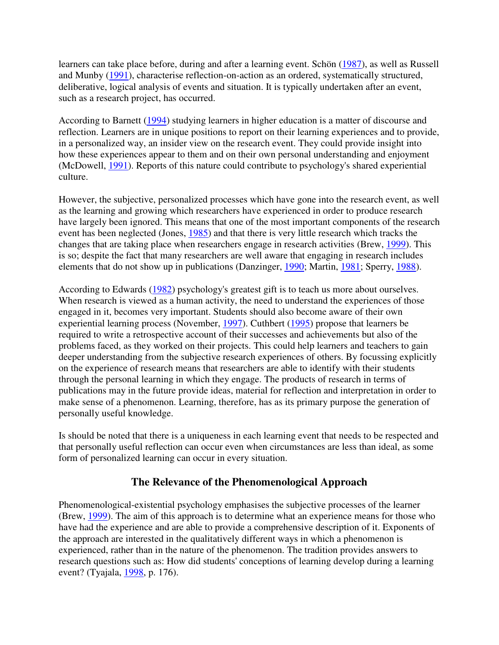learners can take place before, during and after a learning event. Schön (1987), as well as Russell and Munby (1991), characterise reflection-on-action as an ordered, systematically structured, deliberative, logical analysis of events and situation. It is typically undertaken after an event, such as a research project, has occurred.

According to Barnett (1994) studying learners in higher education is a matter of discourse and reflection. Learners are in unique positions to report on their learning experiences and to provide, in a personalized way, an insider view on the research event. They could provide insight into how these experiences appear to them and on their own personal understanding and enjoyment (McDowell, 1991). Reports of this nature could contribute to psychology's shared experiential culture.

However, the subjective, personalized processes which have gone into the research event, as well as the learning and growing which researchers have experienced in order to produce research have largely been ignored. This means that one of the most important components of the research event has been neglected (Jones, 1985) and that there is very little research which tracks the changes that are taking place when researchers engage in research activities (Brew, 1999). This is so; despite the fact that many researchers are well aware that engaging in research includes elements that do not show up in publications (Danzinger, 1990; Martin, 1981; Sperry, 1988).

According to Edwards (1982) psychology's greatest gift is to teach us more about ourselves. When research is viewed as a human activity, the need to understand the experiences of those engaged in it, becomes very important. Students should also become aware of their own experiential learning process (November, 1997). Cuthbert (1995) propose that learners be required to write a retrospective account of their successes and achievements but also of the problems faced, as they worked on their projects. This could help learners and teachers to gain deeper understanding from the subjective research experiences of others. By focussing explicitly on the experience of research means that researchers are able to identify with their students through the personal learning in which they engage. The products of research in terms of publications may in the future provide ideas, material for reflection and interpretation in order to make sense of a phenomenon. Learning, therefore, has as its primary purpose the generation of personally useful knowledge.

Is should be noted that there is a uniqueness in each learning event that needs to be respected and that personally useful reflection can occur even when circumstances are less than ideal, as some form of personalized learning can occur in every situation.

## **The Relevance of the Phenomenological Approach**

Phenomenological-existential psychology emphasises the subjective processes of the learner (Brew, 1999). The aim of this approach is to determine what an experience means for those who have had the experience and are able to provide a comprehensive description of it. Exponents of the approach are interested in the qualitatively different ways in which a phenomenon is experienced, rather than in the nature of the phenomenon. The tradition provides answers to research questions such as: How did students' conceptions of learning develop during a learning event? (Tyajala, 1998, p. 176).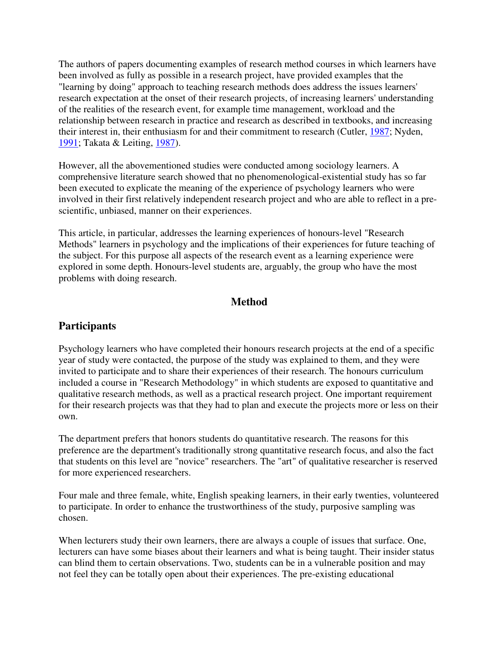The authors of papers documenting examples of research method courses in which learners have been involved as fully as possible in a research project, have provided examples that the "learning by doing" approach to teaching research methods does address the issues learners' research expectation at the onset of their research projects, of increasing learners' understanding of the realities of the research event, for example time management, workload and the relationship between research in practice and research as described in textbooks, and increasing their interest in, their enthusiasm for and their commitment to research (Cutler, 1987; Nyden, 1991; Takata & Leiting, 1987).

However, all the abovementioned studies were conducted among sociology learners. A comprehensive literature search showed that no phenomenological-existential study has so far been executed to explicate the meaning of the experience of psychology learners who were involved in their first relatively independent research project and who are able to reflect in a prescientific, unbiased, manner on their experiences.

This article, in particular, addresses the learning experiences of honours-level "Research Methods" learners in psychology and the implications of their experiences for future teaching of the subject. For this purpose all aspects of the research event as a learning experience were explored in some depth. Honours-level students are, arguably, the group who have the most problems with doing research.

## **Method**

## **Participants**

Psychology learners who have completed their honours research projects at the end of a specific year of study were contacted, the purpose of the study was explained to them, and they were invited to participate and to share their experiences of their research. The honours curriculum included a course in "Research Methodology" in which students are exposed to quantitative and qualitative research methods, as well as a practical research project. One important requirement for their research projects was that they had to plan and execute the projects more or less on their own.

The department prefers that honors students do quantitative research. The reasons for this preference are the department's traditionally strong quantitative research focus, and also the fact that students on this level are "novice" researchers. The "art" of qualitative researcher is reserved for more experienced researchers.

Four male and three female, white, English speaking learners, in their early twenties, volunteered to participate. In order to enhance the trustworthiness of the study, purposive sampling was chosen.

When lecturers study their own learners, there are always a couple of issues that surface. One, lecturers can have some biases about their learners and what is being taught. Their insider status can blind them to certain observations. Two, students can be in a vulnerable position and may not feel they can be totally open about their experiences. The pre-existing educational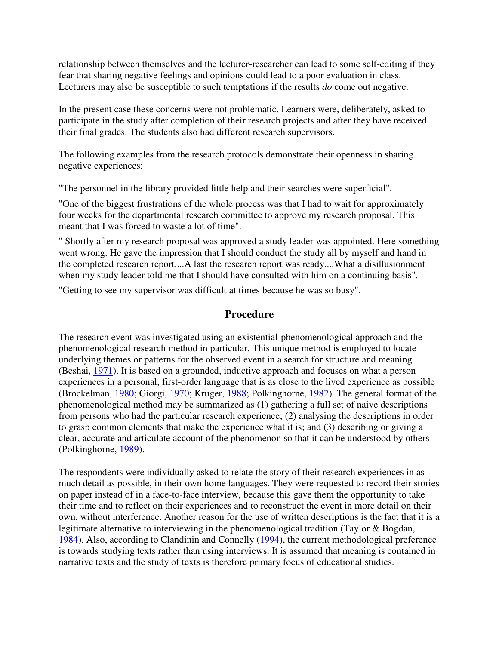relationship between themselves and the lecturer-researcher can lead to some self-editing if they fear that sharing negative feelings and opinions could lead to a poor evaluation in class. Lecturers may also be susceptible to such temptations if the results *do* come out negative.

In the present case these concerns were not problematic. Learners were, deliberately, asked to participate in the study after completion of their research projects and after they have received their final grades. The students also had different research supervisors.

The following examples from the research protocols demonstrate their openness in sharing negative experiences:

"The personnel in the library provided little help and their searches were superficial".

"One of the biggest frustrations of the whole process was that I had to wait for approximately four weeks for the departmental research committee to approve my research proposal. This meant that I was forced to waste a lot of time".

" Shortly after my research proposal was approved a study leader was appointed. Here something went wrong. He gave the impression that I should conduct the study all by myself and hand in the completed research report....A last the research report was ready....What a disillusionment when my study leader told me that I should have consulted with him on a continuing basis".

"Getting to see my supervisor was difficult at times because he was so busy".

## **Procedure**

The research event was investigated using an existential-phenomenological approach and the phenomenological research method in particular. This unique method is employed to locate underlying themes or patterns for the observed event in a search for structure and meaning (Beshai, 1971). It is based on a grounded, inductive approach and focuses on what a person experiences in a personal, first-order language that is as close to the lived experience as possible (Brockelman, 1980; Giorgi, 1970; Kruger, 1988; Polkinghorne, 1982). The general format of the phenomenological method may be summarized as (1) gathering a full set of naive descriptions from persons who had the particular research experience; (2) analysing the descriptions in order to grasp common elements that make the experience what it is; and (3) describing or giving a clear, accurate and articulate account of the phenomenon so that it can be understood by others (Polkinghorne, 1989).

The respondents were individually asked to relate the story of their research experiences in as much detail as possible, in their own home languages. They were requested to record their stories on paper instead of in a face-to-face interview, because this gave them the opportunity to take their time and to reflect on their experiences and to reconstruct the event in more detail on their own, without interference. Another reason for the use of written descriptions is the fact that it is a legitimate alternative to interviewing in the phenomenological tradition (Taylor & Bogdan, 1984). Also, according to Clandinin and Connelly (1994), the current methodological preference is towards studying texts rather than using interviews. It is assumed that meaning is contained in narrative texts and the study of texts is therefore primary focus of educational studies.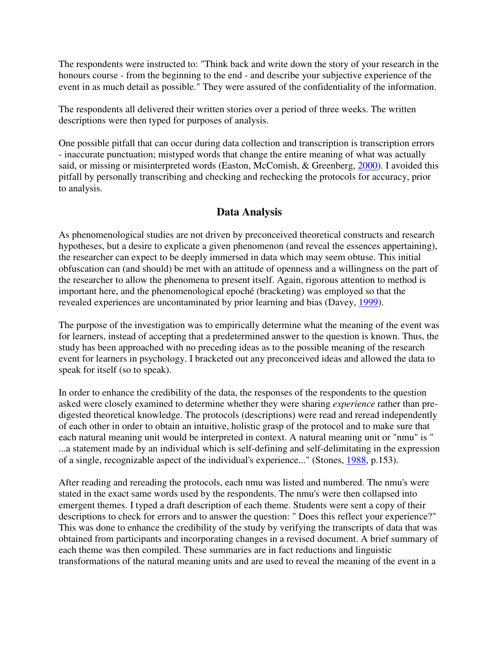The respondents were instructed to: "Think back and write down the story of your research in the honours course - from the beginning to the end - and describe your subjective experience of the event in as much detail as possible." They were assured of the confidentiality of the information.

The respondents all delivered their written stories over a period of three weeks. The written descriptions were then typed for purposes of analysis.

One possible pitfall that can occur during data collection and transcription is transcription errors - inaccurate punctuation; mistyped words that change the entire meaning of what was actually said, or missing or misinterpreted words (Easton, McComish, & Greenberg, 2000). I avoided this pitfall by personally transcribing and checking and rechecking the protocols for accuracy, prior to analysis.

# **Data Analysis**

As phenomenological studies are not driven by preconceived theoretical constructs and research hypotheses, but a desire to explicate a given phenomenon (and reveal the essences appertaining), the researcher can expect to be deeply immersed in data which may seem obtuse. This initial obfuscation can (and should) be met with an attitude of openness and a willingness on the part of the researcher to allow the phenomena to present itself. Again, rigorous attention to method is important here, and the phenomenological epoché (bracketing) was employed so that the revealed experiences are uncontaminated by prior learning and bias (Davey, 1999).

The purpose of the investigation was to empirically determine what the meaning of the event was for learners, instead of accepting that a predetermined answer to the question is known. Thus, the study has been approached with no preceding ideas as to the possible meaning of the research event for learners in psychology. I bracketed out any preconceived ideas and allowed the data to speak for itself (so to speak).

In order to enhance the credibility of the data, the responses of the respondents to the question asked were closely examined to determine whether they were sharing *experience* rather than predigested theoretical knowledge. The protocols (descriptions) were read and reread independently of each other in order to obtain an intuitive, holistic grasp of the protocol and to make sure that each natural meaning unit would be interpreted in context. A natural meaning unit or "nmu" is " ...a statement made by an individual which is self-defining and self-delimitating in the expression of a single, recognizable aspect of the individual's experience..." (Stones, 1988, p.153).

After reading and rereading the protocols, each nmu was listed and numbered. The nmu's were stated in the exact same words used by the respondents. The nmu's were then collapsed into emergent themes. I typed a draft description of each theme. Students were sent a copy of their descriptions to check for errors and to answer the question: " Does this reflect your experience?" This was done to enhance the credibility of the study by verifying the transcripts of data that was obtained from participants and incorporating changes in a revised document. A brief summary of each theme was then compiled. These summaries are in fact reductions and linguistic transformations of the natural meaning units and are used to reveal the meaning of the event in a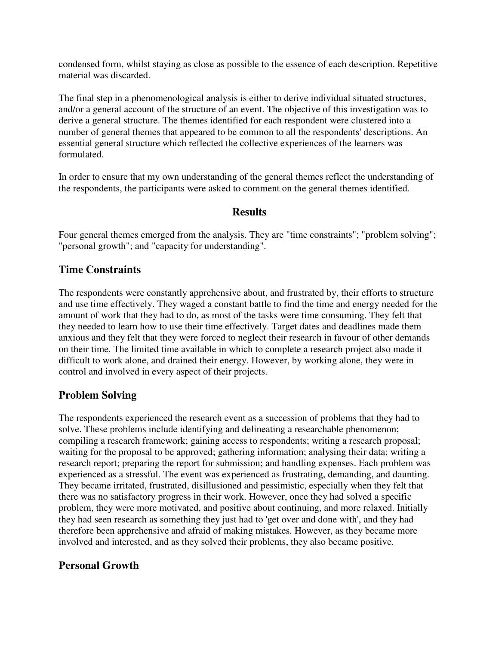condensed form, whilst staying as close as possible to the essence of each description. Repetitive material was discarded.

The final step in a phenomenological analysis is either to derive individual situated structures, and/or a general account of the structure of an event. The objective of this investigation was to derive a general structure. The themes identified for each respondent were clustered into a number of general themes that appeared to be common to all the respondents' descriptions. An essential general structure which reflected the collective experiences of the learners was formulated.

In order to ensure that my own understanding of the general themes reflect the understanding of the respondents, the participants were asked to comment on the general themes identified.

#### **Results**

Four general themes emerged from the analysis. They are "time constraints"; "problem solving"; "personal growth"; and "capacity for understanding".

## **Time Constraints**

The respondents were constantly apprehensive about, and frustrated by, their efforts to structure and use time effectively. They waged a constant battle to find the time and energy needed for the amount of work that they had to do, as most of the tasks were time consuming. They felt that they needed to learn how to use their time effectively. Target dates and deadlines made them anxious and they felt that they were forced to neglect their research in favour of other demands on their time. The limited time available in which to complete a research project also made it difficult to work alone, and drained their energy. However, by working alone, they were in control and involved in every aspect of their projects.

## **Problem Solving**

The respondents experienced the research event as a succession of problems that they had to solve. These problems include identifying and delineating a researchable phenomenon; compiling a research framework; gaining access to respondents; writing a research proposal; waiting for the proposal to be approved; gathering information; analysing their data; writing a research report; preparing the report for submission; and handling expenses. Each problem was experienced as a stressful. The event was experienced as frustrating, demanding, and daunting. They became irritated, frustrated, disillusioned and pessimistic, especially when they felt that there was no satisfactory progress in their work. However, once they had solved a specific problem, they were more motivated, and positive about continuing, and more relaxed. Initially they had seen research as something they just had to 'get over and done with', and they had therefore been apprehensive and afraid of making mistakes. However, as they became more involved and interested, and as they solved their problems, they also became positive.

# **Personal Growth**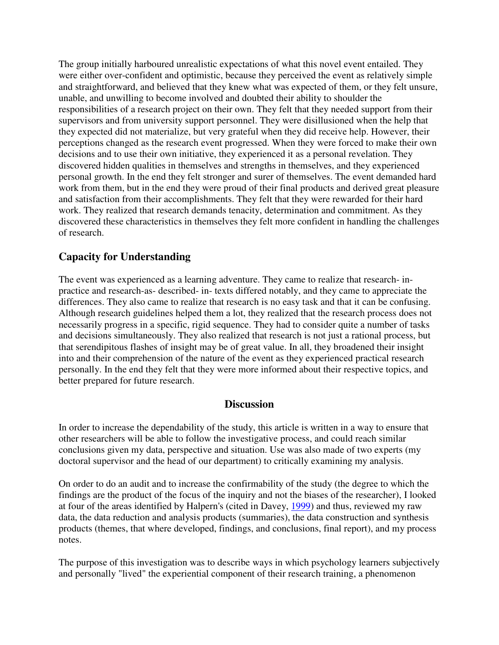The group initially harboured unrealistic expectations of what this novel event entailed. They were either over-confident and optimistic, because they perceived the event as relatively simple and straightforward, and believed that they knew what was expected of them, or they felt unsure, unable, and unwilling to become involved and doubted their ability to shoulder the responsibilities of a research project on their own. They felt that they needed support from their supervisors and from university support personnel. They were disillusioned when the help that they expected did not materialize, but very grateful when they did receive help. However, their perceptions changed as the research event progressed. When they were forced to make their own decisions and to use their own initiative, they experienced it as a personal revelation. They discovered hidden qualities in themselves and strengths in themselves, and they experienced personal growth. In the end they felt stronger and surer of themselves. The event demanded hard work from them, but in the end they were proud of their final products and derived great pleasure and satisfaction from their accomplishments. They felt that they were rewarded for their hard work. They realized that research demands tenacity, determination and commitment. As they discovered these characteristics in themselves they felt more confident in handling the challenges of research.

# **Capacity for Understanding**

The event was experienced as a learning adventure. They came to realize that research- inpractice and research-as- described- in- texts differed notably, and they came to appreciate the differences. They also came to realize that research is no easy task and that it can be confusing. Although research guidelines helped them a lot, they realized that the research process does not necessarily progress in a specific, rigid sequence. They had to consider quite a number of tasks and decisions simultaneously. They also realized that research is not just a rational process, but that serendipitous flashes of insight may be of great value. In all, they broadened their insight into and their comprehension of the nature of the event as they experienced practical research personally. In the end they felt that they were more informed about their respective topics, and better prepared for future research.

## **Discussion**

In order to increase the dependability of the study, this article is written in a way to ensure that other researchers will be able to follow the investigative process, and could reach similar conclusions given my data, perspective and situation. Use was also made of two experts (my doctoral supervisor and the head of our department) to critically examining my analysis.

On order to do an audit and to increase the confirmability of the study (the degree to which the findings are the product of the focus of the inquiry and not the biases of the researcher), I looked at four of the areas identified by Halpern's (cited in Davey, 1999) and thus, reviewed my raw data, the data reduction and analysis products (summaries), the data construction and synthesis products (themes, that where developed, findings, and conclusions, final report), and my process notes.

The purpose of this investigation was to describe ways in which psychology learners subjectively and personally "lived" the experiential component of their research training, a phenomenon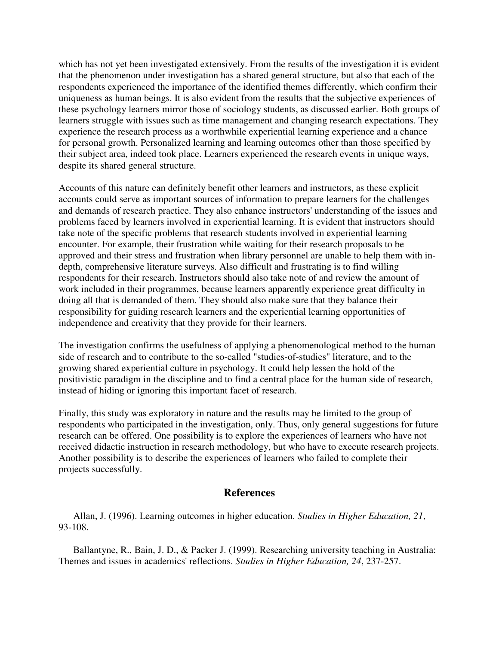which has not yet been investigated extensively. From the results of the investigation it is evident that the phenomenon under investigation has a shared general structure, but also that each of the respondents experienced the importance of the identified themes differently, which confirm their uniqueness as human beings. It is also evident from the results that the subjective experiences of these psychology learners mirror those of sociology students, as discussed earlier. Both groups of learners struggle with issues such as time management and changing research expectations. They experience the research process as a worthwhile experiential learning experience and a chance for personal growth. Personalized learning and learning outcomes other than those specified by their subject area, indeed took place. Learners experienced the research events in unique ways, despite its shared general structure.

Accounts of this nature can definitely benefit other learners and instructors, as these explicit accounts could serve as important sources of information to prepare learners for the challenges and demands of research practice. They also enhance instructors' understanding of the issues and problems faced by learners involved in experiential learning. It is evident that instructors should take note of the specific problems that research students involved in experiential learning encounter. For example, their frustration while waiting for their research proposals to be approved and their stress and frustration when library personnel are unable to help them with indepth, comprehensive literature surveys. Also difficult and frustrating is to find willing respondents for their research. Instructors should also take note of and review the amount of work included in their programmes, because learners apparently experience great difficulty in doing all that is demanded of them. They should also make sure that they balance their responsibility for guiding research learners and the experiential learning opportunities of independence and creativity that they provide for their learners.

The investigation confirms the usefulness of applying a phenomenological method to the human side of research and to contribute to the so-called "studies-of-studies" literature, and to the growing shared experiential culture in psychology. It could help lessen the hold of the positivistic paradigm in the discipline and to find a central place for the human side of research, instead of hiding or ignoring this important facet of research.

Finally, this study was exploratory in nature and the results may be limited to the group of respondents who participated in the investigation, only. Thus, only general suggestions for future research can be offered. One possibility is to explore the experiences of learners who have not received didactic instruction in research methodology, but who have to execute research projects. Another possibility is to describe the experiences of learners who failed to complete their projects successfully.

#### **References**

 Allan, J. (1996). Learning outcomes in higher education. *Studies in Higher Education, 21*, 93-108.

 Ballantyne, R., Bain, J. D., & Packer J. (1999). Researching university teaching in Australia: Themes and issues in academics' reflections. *Studies in Higher Education, 24*, 237-257.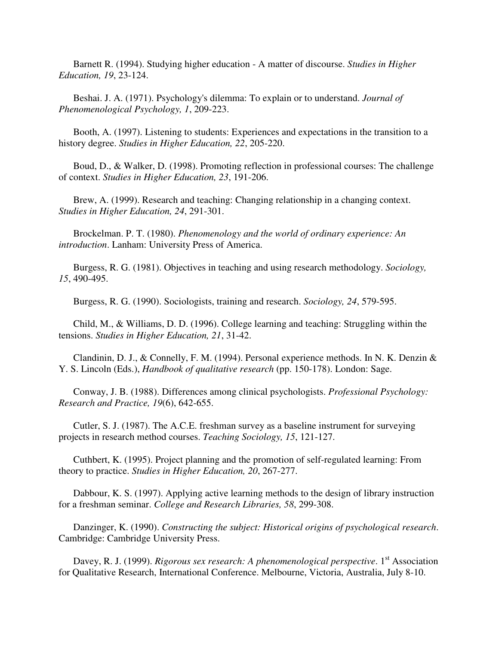Barnett R. (1994). Studying higher education - A matter of discourse. *Studies in Higher Education, 19*, 23-124.

 Beshai. J. A. (1971). Psychology's dilemma: To explain or to understand. *Journal of Phenomenological Psychology, 1*, 209-223.

 Booth, A. (1997). Listening to students: Experiences and expectations in the transition to a history degree. *Studies in Higher Education, 22*, 205-220.

 Boud, D., & Walker, D. (1998). Promoting reflection in professional courses: The challenge of context. *Studies in Higher Education, 23*, 191-206.

 Brew, A. (1999). Research and teaching: Changing relationship in a changing context. *Studies in Higher Education, 24*, 291-301.

 Brockelman. P. T. (1980). *Phenomenology and the world of ordinary experience: An introduction*. Lanham: University Press of America.

 Burgess, R. G. (1981). Objectives in teaching and using research methodology. *Sociology, 15*, 490-495.

Burgess, R. G. (1990). Sociologists, training and research. *Sociology, 24*, 579-595.

 Child, M., & Williams, D. D. (1996). College learning and teaching: Struggling within the tensions. *Studies in Higher Education, 21*, 31-42.

 Clandinin, D. J., & Connelly, F. M. (1994). Personal experience methods. In N. K. Denzin & Y. S. Lincoln (Eds.), *Handbook of qualitative research* (pp. 150-178). London: Sage.

 Conway, J. B. (1988). Differences among clinical psychologists. *Professional Psychology: Research and Practice, 19*(6), 642-655.

 Cutler, S. J. (1987). The A.C.E. freshman survey as a baseline instrument for surveying projects in research method courses. *Teaching Sociology, 15*, 121-127.

 Cuthbert, K. (1995). Project planning and the promotion of self-regulated learning: From theory to practice. *Studies in Higher Education, 20*, 267-277.

 Dabbour, K. S. (1997). Applying active learning methods to the design of library instruction for a freshman seminar. *College and Research Libraries, 58*, 299-308.

 Danzinger, K. (1990). *Constructing the subject: Historical origins of psychological research*. Cambridge: Cambridge University Press.

Davey, R. J. (1999). *Rigorous sex research: A phenomenological perspective*. 1<sup>st</sup> Association for Qualitative Research, International Conference. Melbourne, Victoria, Australia, July 8-10.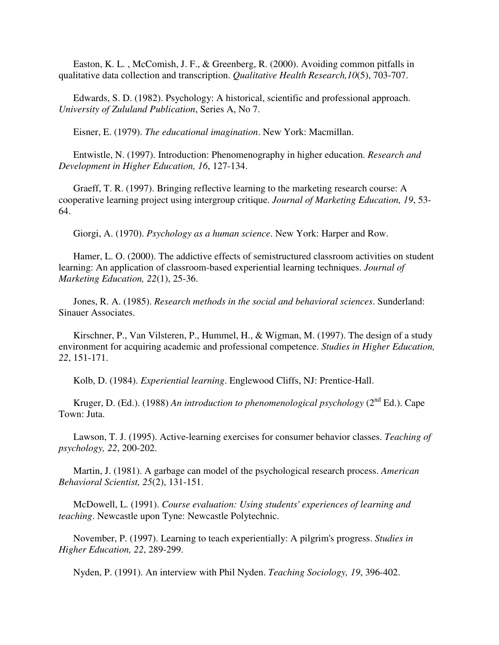Easton, K. L. , McComish, J. F., & Greenberg, R. (2000). Avoiding common pitfalls in qualitative data collection and transcription. *Qualitative Health Research,10*(5), 703-707.

 Edwards, S. D. (1982). Psychology: A historical, scientific and professional approach. *University of Zululand Publication*, Series A, No 7.

Eisner, E. (1979). *The educational imagination*. New York: Macmillan.

 Entwistle, N. (1997). Introduction: Phenomenography in higher education. *Research and Development in Higher Education, 16*, 127-134.

 Graeff, T. R. (1997). Bringing reflective learning to the marketing research course: A cooperative learning project using intergroup critique. *Journal of Marketing Education, 19*, 53- 64.

Giorgi, A. (1970). *Psychology as a human science*. New York: Harper and Row.

 Hamer, L. O. (2000). The addictive effects of semistructured classroom activities on student learning: An application of classroom-based experiential learning techniques. *Journal of Marketing Education, 22*(1), 25-36.

 Jones, R. A. (1985). *Research methods in the social and behavioral sciences*. Sunderland: Sinauer Associates.

 Kirschner, P., Van Vilsteren, P., Hummel, H., & Wigman, M. (1997). The design of a study environment for acquiring academic and professional competence. *Studies in Higher Education, 22*, 151-171.

Kolb, D. (1984). *Experiential learning*. Englewood Cliffs, NJ: Prentice-Hall.

Kruger, D. (Ed.). (1988) An introduction to phenomenological psychology (2<sup>nd</sup> Ed.). Cape Town: Juta.

 Lawson, T. J. (1995). Active-learning exercises for consumer behavior classes. *Teaching of psychology, 22*, 200-202.

 Martin, J. (1981). A garbage can model of the psychological research process. *American Behavioral Scientist, 25*(2), 131-151.

 McDowell, L. (1991). *Course evaluation: Using students' experiences of learning and teaching*. Newcastle upon Tyne: Newcastle Polytechnic.

 November, P. (1997). Learning to teach experientially: A pilgrim's progress. *Studies in Higher Education, 22*, 289-299.

Nyden, P. (1991). An interview with Phil Nyden. *Teaching Sociology, 19*, 396-402.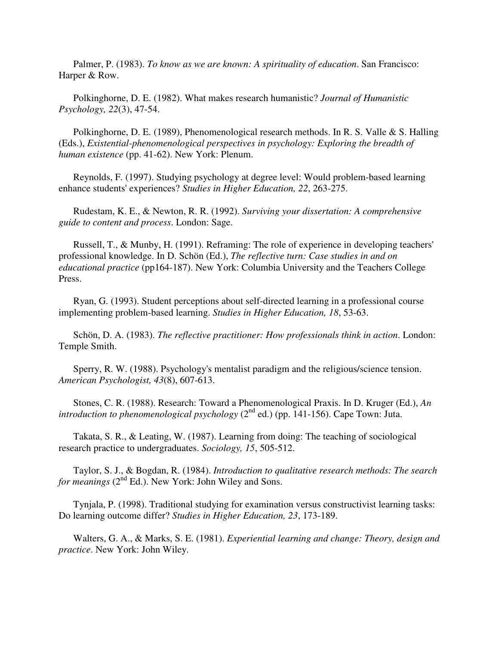Palmer, P. (1983). *To know as we are known: A spirituality of education*. San Francisco: Harper & Row.

 Polkinghorne, D. E. (1982). What makes research humanistic? *Journal of Humanistic Psychology, 22*(3), 47-54.

 Polkinghorne, D. E. (1989), Phenomenological research methods. In R. S. Valle & S. Halling (Eds.), *Existential-phenomenological perspectives in psychology: Exploring the breadth of human existence* (pp. 41-62). New York: Plenum.

 Reynolds, F. (1997). Studying psychology at degree level: Would problem-based learning enhance students' experiences? *Studies in Higher Education, 22*, 263-275.

 Rudestam, K. E., & Newton, R. R. (1992). *Surviving your dissertation: A comprehensive guide to content and process*. London: Sage.

 Russell, T., & Munby, H. (1991). Reframing: The role of experience in developing teachers' professional knowledge. In D. Schön (Ed.), *The reflective turn: Case studies in and on educational practice* (pp164-187). New York: Columbia University and the Teachers College Press.

 Ryan, G. (1993). Student perceptions about self-directed learning in a professional course implementing problem-based learning. *Studies in Higher Education, 18*, 53-63.

 Schön, D. A. (1983). *The reflective practitioner: How professionals think in action*. London: Temple Smith.

 Sperry, R. W. (1988). Psychology's mentalist paradigm and the religious/science tension. *American Psychologist, 43*(8), 607-613.

 Stones, C. R. (1988). Research: Toward a Phenomenological Praxis. In D. Kruger (Ed.), *An introduction to phenomenological psychology* (2<sup>nd</sup> ed.) (pp. 141-156). Cape Town: Juta.

 Takata, S. R., & Leating, W. (1987). Learning from doing: The teaching of sociological research practice to undergraduates. *Sociology, 15*, 505-512.

 Taylor, S. J., & Bogdan, R. (1984). *Introduction to qualitative research methods: The search for meanings* (2<sup>nd</sup> Ed.). New York: John Wiley and Sons.

 Tynjala, P. (1998). Traditional studying for examination versus constructivist learning tasks: Do learning outcome differ? *Studies in Higher Education, 23*, 173-189.

 Walters, G. A., & Marks, S. E. (1981). *Experiential learning and change: Theory, design and practice*. New York: John Wiley.